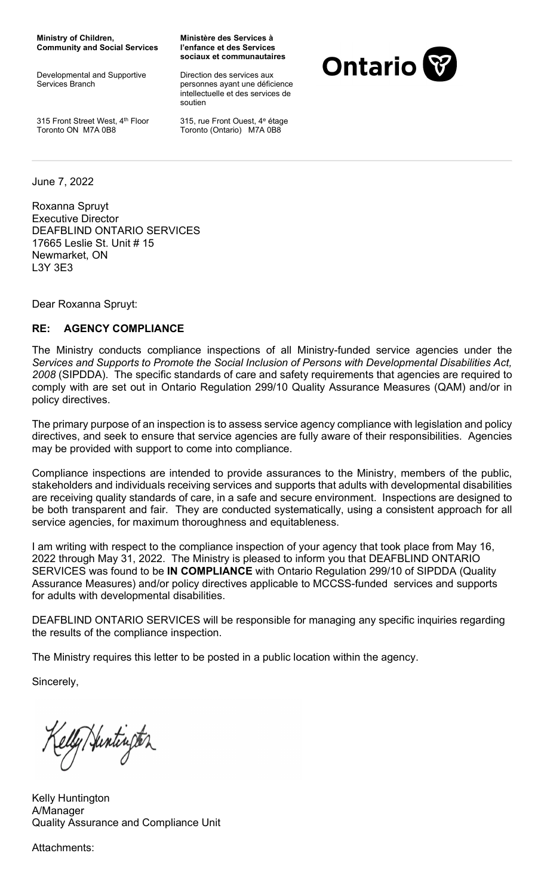Ministry of Children, Community and Social Services

Developmental and Supportive Services Branch

315 Front Street West, 4th Floor Toronto ON M7A 0B8

Ministère des Services à l'enfance et des Services sociaux et communautaires

Direction des services aux personnes ayant une déficience intellectuelle et des services de soutien

315, rue Front Ouest, 4<sup>e</sup> étage Toronto (Ontario) M7A 0B8



June 7, 2022

Roxanna Spruyt Executive Director DEAFBLIND ONTARIO SERVICES 17665 Leslie St. Unit # 15 Newmarket, ON L3Y 3E3

Dear Roxanna Spruyt:

## RE: AGENCY COMPLIANCE

The Ministry conducts compliance inspections of all Ministry-funded service agencies under the Services and Supports to Promote the Social Inclusion of Persons with Developmental Disabilities Act, 2008 (SIPDDA). The specific standards of care and safety requirements that agencies are required to comply with are set out in Ontario Regulation 299/10 Quality Assurance Measures (QAM) and/or in policy directives.

The primary purpose of an inspection is to assess service agency compliance with legislation and policy directives, and seek to ensure that service agencies are fully aware of their responsibilities. Agencies may be provided with support to come into compliance.

Compliance inspections are intended to provide assurances to the Ministry, members of the public, stakeholders and individuals receiving services and supports that adults with developmental disabilities are receiving quality standards of care, in a safe and secure environment. Inspections are designed to be both transparent and fair. They are conducted systematically, using a consistent approach for all service agencies, for maximum thoroughness and equitableness.

I am writing with respect to the compliance inspection of your agency that took place from May 16, 2022 through May 31, 2022. The Ministry is pleased to inform you that DEAFBLIND ONTARIO SERVICES was found to be IN COMPLIANCE with Ontario Regulation 299/10 of SIPDDA (Quality Assurance Measures) and/or policy directives applicable to MCCSS-funded services and supports for adults with developmental disabilities.

DEAFBLIND ONTARIO SERVICES will be responsible for managing any specific inquiries regarding the results of the compliance inspection.

The Ministry requires this letter to be posted in a public location within the agency.

Sincerely,

elly/Juntington

Kelly Huntington A/Manager Quality Assurance and Compliance Unit

Attachments: